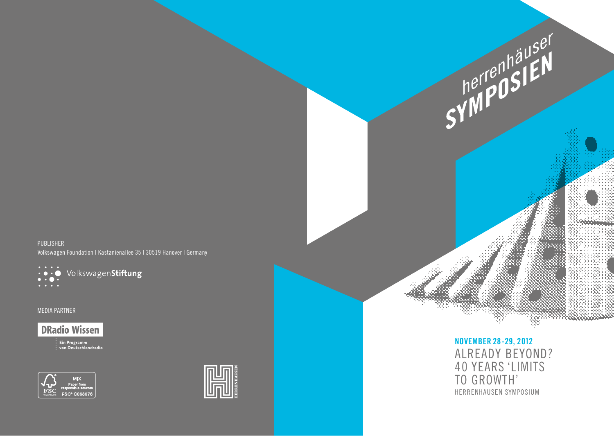PUBLISHER Volkswagen Foundation | Kastanienallee 35 | 30519 Hanover | Germany



MEDIA PARTNER

**DRadio Wissen** 

:<br>: Ein Programm<br>: von Deutschlandradio





**NOVEMBER 28-29, 2012**  ALREADY BEYOND? 40 YEARS 'LIMITS TO GROWTH' HERRENHAUSEN SYMPOSIUM

**SYMPOSIEN**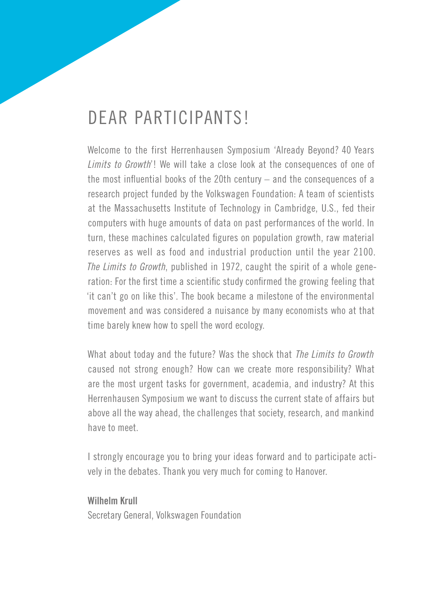## Dear Participants!

Welcome to the first Herrenhausen Symposium 'Already Beyond? 40 Years *Limits to Growth*'! We will take a close look at the consequences of one of the most influential books of the 20th century – and the consequences of a research project funded by the Volkswagen Foundation: A team of scientists at the Massachusetts Institute of Technology in Cambridge, U.S., fed their computers with huge amounts of data on past performances of the world. In turn, these machines calculated figures on population growth, raw material reserves as well as food and industrial production until the year 2100. *The Limits to Growth*, published in 1972, caught the spirit of a whole generation: For the first time a scientific study confirmed the growing feeling that 'it can't go on like this'. The book became a milestone of the environmental movement and was considered a nuisance by many economists who at that time barely knew how to spell the word ecology.

What about today and the future? Was the shock that *The Limits to Growth*  caused not strong enough? How can we create more responsibility? What are the most urgent tasks for government, academia, and industry? At this Herrenhausen Symposium we want to discuss the current state of affairs but above all the way ahead, the challenges that society, research, and mankind have to meet.

I strongly encourage you to bring your ideas forward and to participate actively in the debates. Thank you very much for coming to Hanover.

#### **Wilhelm Krull**

Secretary General, Volkswagen Foundation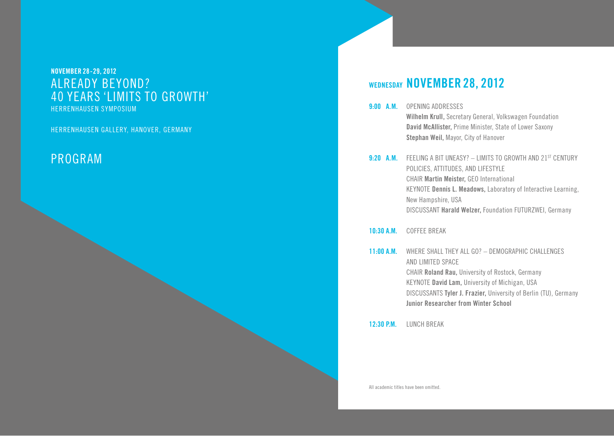#### **NOVEMBER 28-29, 2012**  ALREADY BEYOND? 40 YEARS 'LIMITS TO GROWTH' HERRENHAUSEN SYMPOSIUM

HERRENHAUSEN GALLERY, HANOVER, GERMANY

#### Program

#### **Wednesday NOVEMBER 28, 2012**

- **9:00 A.m.** Opening Addresses **Wilhelm Krull,** Secretary General, Volkswagen Foundation **David McAllister,** Prime Minister, State of Lower Saxony **Stephan Weil,** Mayor, City of Hanover
- **9:20 A.M.** FEELING A BIT UNEASY? LIMITS TO GROWTH AND 21<sup>st</sup> CENTURY Policies, Attitudes, and Lifestyle CHAIR **Martin Meister,** GEO International KEYNOTE Dennis L. Meadows, Laboratory of Interactive Learning, New Hampshire, USA Discussant **Harald Welzer,** Foundation FUTURZWEI, Germany

#### **10:30 A.m.** Coffee Break

**11:00 A.m.** Where shall they all go? – Demographic Challenges and Limited Space CHAIR **Roland Rau,** University of Rostock, Germany Keynote **David Lam,** University of Michigan, USA DiscussantS **Tyler J. Frazier,** University of Berlin (TU), Germany  **Junior Researcher from Winter School**

**12:30 P.m.** Lunch Break

All academic titles have been omitted.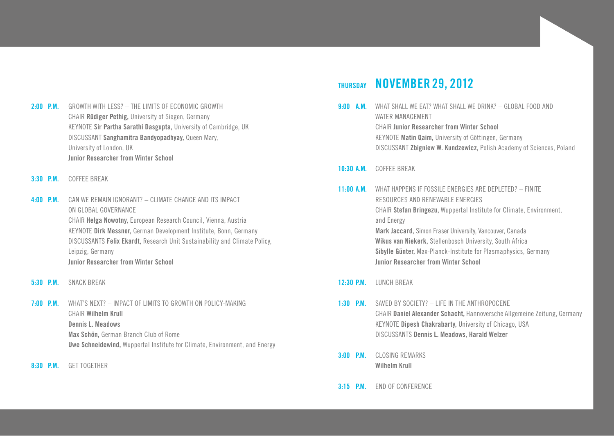- **2:00 p.m.** Growth with less? The Limits of Economic Growth CHAIR **Rüdiger Pethig,** University of Siegen, Germany Keynote **Sir Partha Sarathi Dasgupta,** University of Cambridge, UK Discussant **Sanghamitra Bandyopadhyay,** Queen Mary, University of London, UK  **Junior Researcher from Winter School**
- **3:30 p.m.** Coffee Break
- **4:00 p.m.** Can we remain ignorant? Climate Change and its Impact on Global Governance CHAIR **Helga Nowotny,** European Research Council, Vienna, Austria Keynote **Dirk Messner,** German Development Institute, Bonn, Germany DiscussantS **Felix Ekardt,** Research Unit Sustainability and Climate Policy, Leipzig, Germany **Junior Researcher from Winter School**
- **5:30 p.m.** Snack Break
- **7:00 p.m.** What's Next? Impact of Limits to Growth on Policy-Making CHAIR **Wilhelm Krull Dennis L. Meadows Max Schön,** German Branch Club of Rome  **Uwe Schneidewind,** Wuppertal Institute for Climate, Environment, and Energy
- **8:30 p.m.** Get Together

#### **Thursday NOVEMBER 29, 2012**

- **9:00 A.M.** WHAT SHALL WE EAT? WHAT SHALL WE DRINK? GLOBAL FOOD AND WATER Management CHAIR **Junior Researcher from Winter School** KEYNOTE Matin Qaim, University of Göttingen, Germany Discussant **Zbigniew W. Kundzewicz,** Polish Academy of Sciences, Poland
- **10:30 A.m.** Coffee Break
- **11:00 A.m.** What happens if Fossile Energies are Depleted? Finite Resources and Renewable Energies CHAIR **Stefan Bringezu,** Wuppertal Institute for Climate, Environment, and Energy **Mark Jaccard,** Simon Fraser University, Vancouver, Canada  **Wikus van Niekerk,** Stellenbosch University, South Africa  **Sibylle Günter,** Max-Planck-Institute for Plasmaphysics, Germany  **Junior Researcher from Winter School**
- **12:30 P.m.** Lunch Break
- **1:30 P.m.** Saved by Society? Life in the Anthropocene CHAIR **Daniel Alexander Schacht,** Hannoversche Allgemeine Zeitung, Germany KEYNOTE **Dipesh Chakrabarty**, University of Chicago, USA DiscussantS **Dennis L. Meadows, Harald Welzer**
- **3:00 P.m.** CLOSING REMARKS **Wilhelm Krull**
- **3:15 P.m.** End of Conference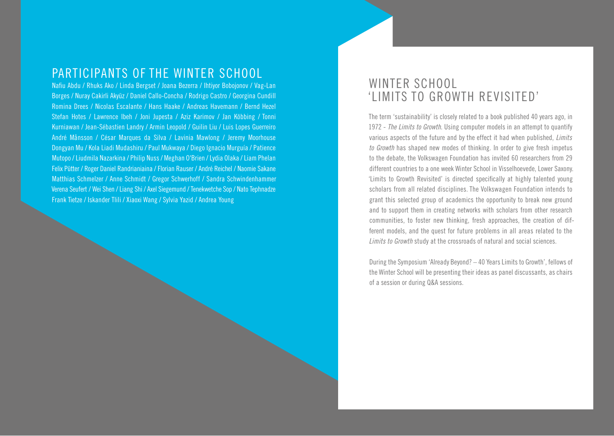#### Participants of the Winter School

Nafiu Abdu / Rhuks Ako / Linda Bergset / Joana Bezerra / Ihtiyor Bobojonov / Vag-Lan Borges / Nuray Cakirli Akyüz / Daniel Callo-Concha / Rodrigo Castro / Georgina Cundill Romina Drees / Nicolas Escalante / Hans Haake / Andreas Havemann / Bernd Hezel Stefan Hotes / Lawrence Ibeh / Joni Jupesta / Aziz Karimov / Jan Köbbing / Tonni Kurniawan / Jean-Sébastien Landry / Armin Leopold / Guilin Liu / Luis Lopes Guerreiro André Månsson / César Marques da Silva / Lavinia Mawlong / Jeremy Moorhouse Dongyan Mu / Kola Liadi Mudashiru / Paul Mukwaya / Diego Ignacio Murguía / Patience Mutopo / Liudmila Nazarkina / Philip Nuss / Meghan O'Brien / Lydia Olaka / Liam Phelan Felix Pütter / Roger Daniel Randrianiaina / Florian Rauser / André Reichel / Naomie Sakane Matthias Schmelzer / Anne Schmidt / Gregor Schwerhoff / Sandra Schwindenhammer Verena Seufert / Wei Shen / Liang Shi / Axel Siegemund / Tenekwetche Sop / Nato Tephnadze Frank Tietze / Iskander Tlili / Xiaoxi Wang / Sylvia Yazid / Andrea Young

#### WINTER SCHOOL 'Limits to Growth Revisited'

The term 'sustainability' is closely related to a book published 40 years ago, in 1972 - *The Limits to Growth*. Using computer models in an attempt to quantify various aspects of the future and by the effect it had when published, *Limits to Growth* has shaped new modes of thinking. In order to give fresh impetus to the debate, the Volkswagen Foundation has invited 60 researchers from 29 different countries to a one week Winter School in Visselhoevede, Lower Saxony. 'Limits to Growth Revisited' is directed specifically at highly talented young scholars from all related disciplines. The Volkswagen Foundation intends to grant this selected group of academics the opportunity to break new ground and to support them in creating networks with scholars from other research communities, to foster new thinking, fresh approaches, the creation of different models, and the quest for future problems in all areas related to the *Limits to Growth* study at the crossroads of natural and social sciences.

During the Symposium 'Already Beyond? – 40 Years Limits to Growth', fellows of the Winter School will be presenting their ideas as panel discussants, as chairs of a session or during Q&A sessions.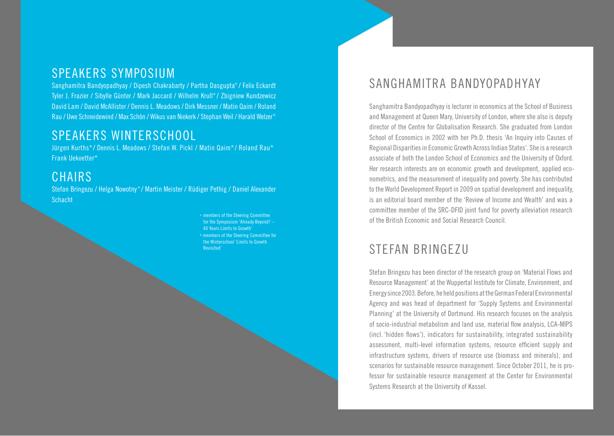#### speakers SYMPOSIUM

Sanghamitra Bandyopadhyay / Dipesh Chakrabarty / Partha Dasgupta+ / Felix Eckardt Tyler J. Frazier / Sibylle Günter / Mark Jaccard / Wilhelm Krull<sup>+</sup> / Zbigniew Kundzewicz David Lam / David McAllister / Dennis L. Meadows / Dirk Messner / Matin Qaim / Roland Rau / Uwe Schneidewind / Max Schön / Wikus van Niekerk / Stephan Weil / Harald Welzer<sup>+</sup>

## speakers Winterschool

Jürgen Kurths\*/ Dennis L. Meadows / Stefan W. Pickl / Matin Qaim\*/ Roland Rau\* Frank Uekoetter\*

## CHAIRS

Stefan Bringezu / Helga Nowotny<sup>+</sup> / Martin Meister / Rüdiger Pethig / Daniel Alexander **Schacht** 

> <sup>+</sup> members of the Steering Committee for the Symposium 'Already Beyond? – 40 Years Limits to Growth' \* members of the Steering Committee for the Winterschool 'Limits to Growth Revisited'

## Sanghamitra Bandyopadhyay

Sanghamitra Bandyopadhyay is lecturer in economics at the School of Business and Management at Queen Mary, University of London, where she also is deputy director of the Centre for Globalisation Research. She graduated from London School of Economics in 2002 with her Ph.D. thesis 'An Inquiry into Causes of Regional Disparities in Economic Growth Across Indian States'. She is a research associate of both the London School of Economics and the University of Oxford. Her research interests are on economic growth and development, applied econometrics, and the measurement of inequality and poverty. She has contributed to the World Development Report in 2009 on spatial development and inequality, is an editorial board member of the 'Review of Income and Wealth' and was a committee member of the SRC-DFID joint fund for poverty alleviation research of the British Economic and Social Research Council.

# STEFAN BRINGEZU

Stefan Bringezu has been director of the research group on 'Material Flows and Resource Management' at the Wuppertal Institute for Climate, Environment, and Energy since 2003. Before, he held positions at the German Federal Environmental Agency and was head of department for 'Supply Systems and Environmental Planning' at the University of Dortmund. His research focuses on the analysis of socio-industrial metabolism and land use, material flow analysis, LCA-MIPS (incl. 'hidden flows'), indicators for sustainability, integrated sustainability assessment, multi-level information systems, resource efficient supply and infrastructure systems, drivers of resource use (biomass and minerals), and scenarios for sustainable resource management. Since October 2011, he is professor for sustainable resource management at the Center for Environmental Systems Research at the University of Kassel.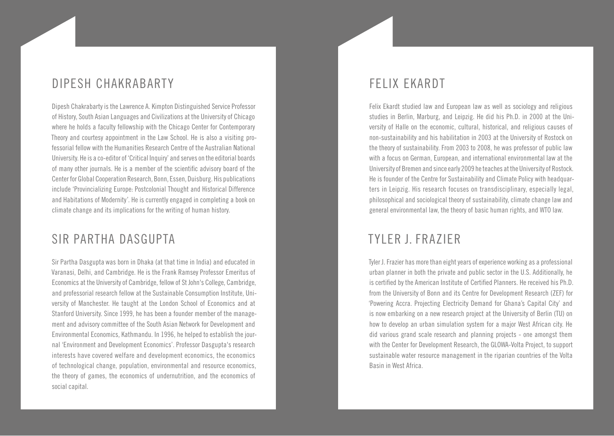## Dipesh Chakrabarty

Dipesh Chakrabarty is the Lawrence A. Kimpton Distinguished Service Professor of History, South Asian Languages and Civilizations at the University of Chicago where he holds a faculty fellowship with the Chicago Center for Contemporary Theory and courtesy appointment in the Law School. He is also a visiting professorial fellow with the Humanities Research Centre of the Australian National University. He is a co-editor of 'Critical Inquiry' and serves on the editorial boards of many other journals. He is a member of the scientific advisory board of the Center for Global Cooperation Research, Bonn, Essen, Duisburg. His publications include 'Provincializing Europe: Postcolonial Thought and Historical Difference and Habitations of Modernity'. He is currently engaged in completing a book on climate change and its implications for the writing of human history.

### Sir Partha Dasgupta

Sir Partha Dasgupta was born in Dhaka (at that time in India) and educated in Varanasi, Delhi, and Cambridge. He is the Frank Ramsey Professor Emeritus of Economics at the University of Cambridge, fellow of St John's College, Cambridge, and professorial research fellow at the Sustainable Consumption Institute, University of Manchester. He taught at the London School of Economics and at Stanford University. Since 1999, he has been a founder member of the management and advisory committee of the South Asian Network for Development and Environmental Economics, Kathmandu. In 1996, he helped to establish the journal 'Environment and Development Economics'. Professor Dasgupta's research interests have covered welfare and development economics, the economics of technological change, population, environmental and resource economics, the theory of games, the economics of undernutrition, and the economics of social capital.

### FELIX EKARDT

Felix Ekardt studied law and European law as well as sociology and religious studies in Berlin, Marburg, and Leipzig. He did his Ph.D. in 2000 at the University of Halle on the economic, cultural, historical, and religious causes of non-sustainability and his habilitation in 2003 at the University of Rostock on the theory of sustainability. From 2003 to 2008, he was professor of public law with a focus on German, European, and international environmental law at the University of Bremen and since early 2009 he teaches at the University of Rostock. He is founder of the Centre for Sustainability and Climate Policy with headquarters in Leipzig. His research focuses on transdisciplinary, especially legal, philosophical and sociological theory of sustainability, climate change law and general environmental law, the theory of basic human rights, and WTO law.

## Tyler J. Frazier

Tyler J. Frazier has more than eight years of experience working as a professional urban planner in both the private and public sector in the U.S. Additionally, he is certified by the American Institute of Certified Planners. He received his Ph.D. from the University of Bonn and its Centre for Development Research (ZEF) for 'Powering Accra. Projecting Electricity Demand for Ghana's Capital City' and is now embarking on a new research project at the University of Berlin (TU) on how to develop an urban simulation system for a major West African city. He did various grand scale research and planning projects - one amongst them with the Center for Development Research, the GLOWA-Volta Project, to support sustainable water resource management in the riparian countries of the Volta Basin in West Africa.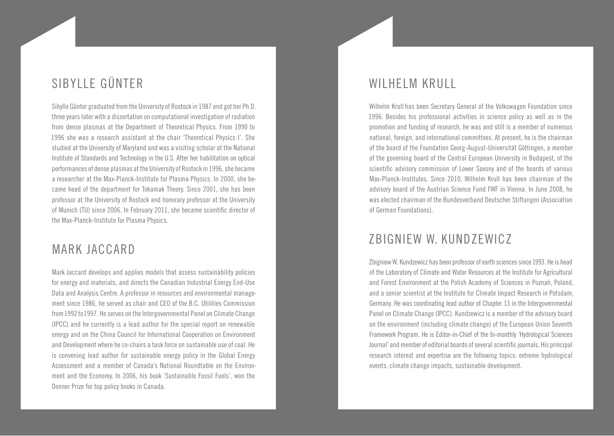# Sibylle Günter

Sibylle Günter graduated from the University of Rostock in 1987 and got her Ph.D. three years later with a dissertation on computational investigation of radiation from dense plasmas at the Department of Theoretical Physics. From 1990 to 1996 she was a research assistant at the chair 'Theoretical Physics I'. She studied at the University of Maryland and was a visiting scholar at the National Institute of Standards and Technology in the U.S. After her habilitation on optical performances of dense plasmas at the University of Rostock in 1996, she became a researcher at the Max-Planck-Institute for Plasma Physics. In 2000, she became head of the department for Tokamak Theory. Since 2001, she has been professor at the University of Rostock and honorary professor at the University of Munich (TU) since 2006. In February 2011, she became scientific director of the Max-Planck-Institute for Plasma Physics.

### Mark Jaccard

Mark Jaccard develops and applies models that assess sustainability policies for energy and materials, and directs the Canadian Industrial Energy End-Use Data and Analysis Centre. A professor in resources and environmental management since 1986, he served as chair and CEO of the B.C. Utilities Commission from 1992 to 1997. He serves on the Intergovernmental Panel on Climate Change (IPCC) and he currently is a lead author for the special report on renewable energy and on the China Council for International Cooperation on Environment and Development where he co-chairs a task force on sustainable use of coal. He is convening lead author for sustainable energy policy in the Global Energy Assessment and a member of Canada's National Roundtable on the Environment and the Economy. In 2006, his book 'Sustainable Fossil Fuels', won the Donner Prize for top policy books in Canada.

### WILHELM KRULL

Wilhelm Krull has been Secretary General of the Volkswagen Foundation since 1996. Besides his professional activities in science policy as well as in the promotion and funding of research, he was and still is a member of numerous national, foreign, and international committees. At present, he is the chairman of the board of the Foundation Georg-August-Universität Göttingen, a member of the governing board of the Central European University in Budapest, of the scientific advisory commission of Lower Saxony and of the boards of various Max-Planck-Institutes. Since 2010, Wilhelm Krull has been chairman of the advisory board of the Austrian Science Fund FWF in Vienna. In June 2008, he was elected chairman of the Bundesverband Deutscher Stiftungen (Association of German Foundations).

#### Zbigniew W. Kundzewicz

Zbigniew W. Kundzewicz has been professor of earth sciences since 1993. He is head of the Laboratory of Climate and Water Resources at the Institute for Agricultural and Forest Environment at the Polish Academy of Sciences in Poznań, Poland, and a senior scientist at the Institute for Climate Impact Research in Potsdam, Germany. He was coordinating lead author of Chapter 13 in the Intergovernmental Panel on Climate Change (IPCC). Kundzewicz is a member of the advisory board on the environment (including climate change) of the European Union Seventh Framework Program. He is Editor-in-Chief of the bi-monthly 'Hydrological Sciences Journal' and member of editorial boards of several scientific journals. His principal research interest and expertise are the following topics: extreme hydrological events, climate change impacts, sustainable development.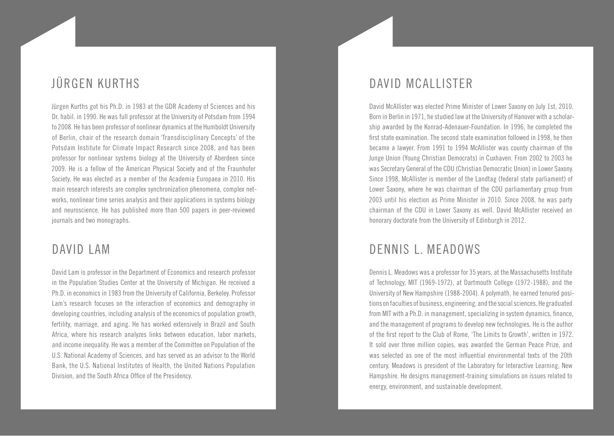# Jürgen Kurths

Jürgen Kurths got his Ph.D. in 1983 at the GDR Academy of Sciences and his Dr. habil. in 1990. He was full professor at the University of Potsdam from 1994 to 2008. He has been professor of nonlinear dynamics at the Humboldt University of Berlin, chair of the research domain 'Transdisciplinary Concepts' of the Potsdam Institute for Climate Impact Research since 2008, and has been professor for nonlinear systems biology at the University of Aberdeen since 2009. He is a fellow of the American Physical Society and of the Fraunhofer Society. He was elected as a member of the Academia Europaea in 2010. His main research interests are complex synchronization phenomena, complex networks, nonlinear time series analysis and their applications in systems biology and neuroscience. He has published more than 500 papers in peer-reviewed journals and two monographs.

#### David Lam

David Lam is professor in the Department of Economics and research professor in the Population Studies Center at the University of Michigan. He received a Ph.D. in economics in 1983 from the University of California, Berkeley. Professor Lam's research focuses on the interaction of economics and demography in developing countries, including analysis of the economics of population growth, fertility, marriage, and aging. He has worked extensively in Brazil and South Africa, where his research analyzes links between education, labor markets, and income inequality. He was a member of the Committee on Population of the U.S. National Academy of Sciences, and has served as an advisor to the World Bank, the U.S. National Institutes of Health, the United Nations Population Division, and the South Africa Office of the Presidency.

#### DAVID MCALLISTER

David McAllister was elected Prime Minister of Lower Saxony on July 1st, 2010. Born in Berlin in 1971, he studied law at the University of Hanover with a scholarship awarded by the Konrad-Adenauer-Foundation. In 1996, he completed the first state examination. The second state examination followed in 1998, he then became a lawyer. From 1991 to 1994 McAllister was county chairman of the Junge Union (Young Christian Democrats) in Cuxhaven. From 2002 to 2003 he was Secretary General of the CDU (Christian Democratic Union) in Lower Saxony. Since 1998, McAllister is member of the Landtag (federal state parliament) of Lower Saxony, where he was chairman of the CDU parliamentary group from 2003 until his election as Prime Minister in 2010. Since 2008, he was party chairman of the CDU in Lower Saxony as well. David McAllister received an honorary doctorate from the University of Edinburgh in 2012.

## DENNIS L. MEADOWS

Dennis L. Meadows was a professor for 35 years, at the Massachusetts Institute of Technology, MIT (1969-1972), at Dartmouth College (1972-1988), and the University of New Hampshire (1988-2004). A polymath, he earned tenured positions on faculties of business, engineering, and the social sciences. He graduated from MIT with a Ph.D. in management, specializing in system dynamics, finance, and the management of programs to develop new technologies. He is the author of the first report to the Club of Rome, 'The Limits to Growth', written in 1972. It sold over three million copies, was awarded the German Peace Prize, and was selected as one of the most influential environmental texts of the 20th century. Meadows is president of the Laboratory for Interactive Learning, New Hampshire. He designs management-training simulations on issues related to energy, environment, and sustainable development.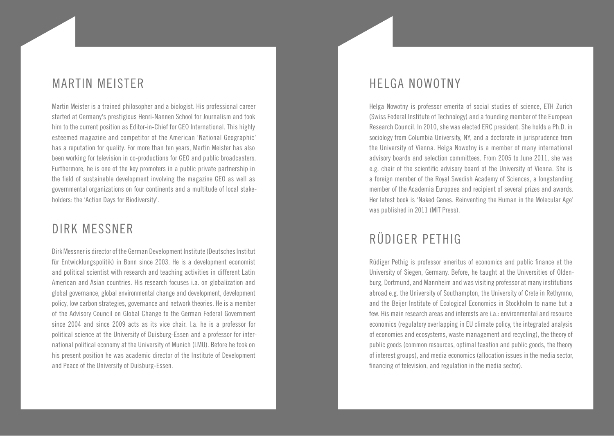### Martin Meister

Martin Meister is a trained philosopher and a biologist. His professional career started at Germany's prestigious Henri-Nannen School for Journalism and took him to the current position as Editor-in-Chief for GEO International. This highly esteemed magazine and competitor of the American 'National Geographic' has a reputation for quality. For more than ten years, Martin Meister has also been working for television in co-productions for GEO and public broadcasters. Furthermore, he is one of the key promoters in a public private partnership in the field of sustainable development involving the magazine GEO as well as governmental organizations on four continents and a multitude of local stakeholders: the 'Action Days for Biodiversity'.

### Dirk Messner

Dirk Messner is director of the German Development Institute (Deutsches Institut für Entwicklungspolitik) in Bonn since 2003. He is a development economist and political scientist with research and teaching activities in different Latin American and Asian countries. His research focuses i.a. on globalization and global governance, global environmental change and development, development policy, low carbon strategies, governance and network theories. He is a member of the Advisory Council on Global Change to the German Federal Government since 2004 and since 2009 acts as its vice chair. I.a. he is a professor for political science at the University of Duisburg-Essen and a professor for international political economy at the University of Munich (LMU). Before he took on his present position he was academic director of the Institute of Development and Peace of the University of Duisburg-Essen.

#### Helga Nowotny

Helga Nowotny is professor emerita of social studies of science, ETH Zurich (Swiss Federal Institute of Technology) and a founding member of the European Research Council. In 2010, she was elected ERC president. She holds a Ph.D. in sociology from Columbia University, NY, and a doctorate in jurisprudence from the University of Vienna. Helga Nowotny is a member of many international advisory boards and selection committees. From 2005 to June 2011, she was e.g. chair of the scientific advisory board of the University of Vienna. She is a foreign member of the Royal Swedish Academy of Sciences, a longstanding member of the Academia Europaea and recipient of several prizes and awards. Her latest book is 'Naked Genes. Reinventing the Human in the Molecular Age' was published in 2011 (MIT Press).

## Rüdiger Pethig

Rüdiger Pethig is professor emeritus of economics and public finance at the University of Siegen, Germany. Before, he taught at the Universities of Oldenburg, Dortmund, and Mannheim and was visiting professor at many institutions abroad e.g. the University of Southampton, the University of Crete in Rethymno, and the Beijer Institute of Ecological Economics in Stockholm to name but a few. His main research areas and interests are i.a.: environmental and resource economics (regulatory overlapping in EU climate policy, the integrated analysis of economies and ecosystems, waste management and recycling), the theory of public goods (common resources, optimal taxation and public goods, the theory of interest groups), and media economics (allocation issues in the media sector, financing of television, and regulation in the media sector).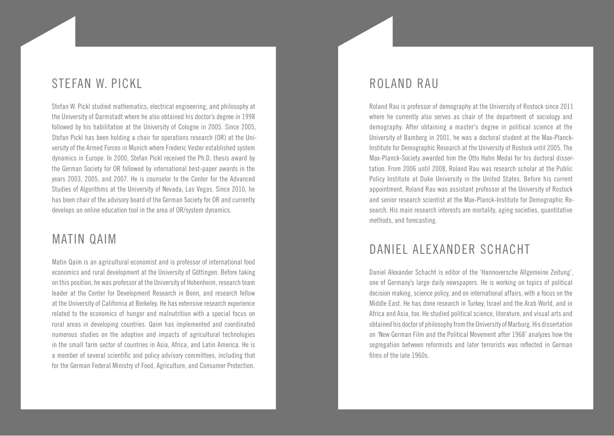### STEFAN W. PICKL

Stefan W. Pickl studied mathematics, electrical engineering, and philosophy at the University of Darmstadt where he also obtained his doctor's degree in 1998 followed by his habilitation at the University of Cologne in 2005. Since 2005, Stefan Pickl has been holding a chair for operations research (OR) at the University of the Armed Forces in Munich where Frederic Vester established system dynamics in Europe. In 2000, Stefan Pickl received the Ph.D. thesis award by the German Society for OR followed by international best-paper awards in the years 2003, 2005, and 2007. He is counselor to the Center for the Advanced Studies of Algorithms at the University of Nevada, Las Vegas. Since 2010, he has been chair of the advisory board of the German Society for OR and currently develops an online education tool in the area of OR/system dynamics.

#### Matin Qaim

Matin Qaim is an agricultural economist and is professor of international food economics and rural development at the University of Göttingen. Before taking on this position, he was professor at the University of Hohenheim, research team leader at the Center for Development Research in Bonn, and research fellow at the University of California at Berkeley. He has extensive research experience related to the economics of hunger and malnutrition with a special focus on rural areas in developing countries. Qaim has implemented and coordinated numerous studies on the adoption and impacts of agricultural technologies in the small farm sector of countries in Asia, Africa, and Latin America. He is a member of several scientific and policy advisory committees, including that for the German Federal Ministry of Food, Agriculture, and Consumer Protection.

#### Roland Rau

Roland Rau is professor of demography at the University of Rostock since 2011 where he currently also serves as chair of the department of sociology and demography. After obtaining a master's degree in political science at the University of Bamberg in 2001, he was a doctoral student at the Max-Planck-Institute for Demographic Research at the University of Rostock until 2005. The Max-Planck-Society awarded him the Otto Hahn Medal for his doctoral dissertation. From 2006 until 2008, Roland Rau was research scholar at the Public Policy Institute at Duke University in the United States. Before his current appointment, Roland Rau was assistant professor at the University of Rostock and senior research scientist at the Max-Planck-Institute for Demographic Research. His main research interests are mortality, aging societies, quantitative methods, and forecasting.

## Daniel Alexander Schacht

Daniel Alexander Schacht is editor of the 'Hannoversche Allgemeine Zeitung', one of Germany's large daily newspapers. He is working on topics of political decision making, science policy, and on international affairs, with a focus on the Middle East. He has done research in Turkey, Israel and the Arab World, and in Africa and Asia, too. He studied political science, literature, and visual arts and obtained his doctor of philosophy from the University of Marburg. His dissertation on 'New German Film and the Political Movement after 1968' analyzes how the segregation between reformists and later terrorists was reflected in German films of the late 1960s.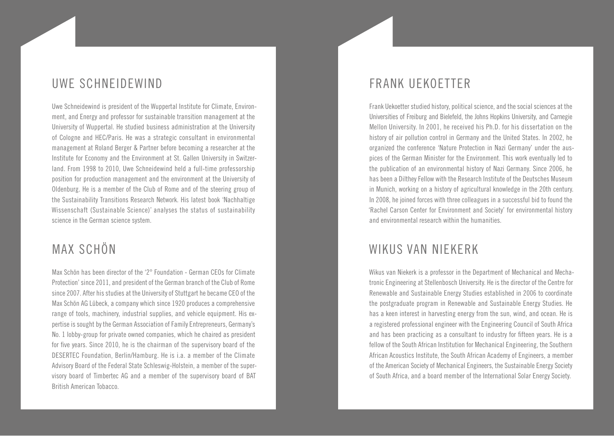### Uwe Schneidewind

Uwe Schneidewind is president of the Wuppertal Institute for Climate, Environment, and Energy and professor for sustainable transition management at the University of Wuppertal. He studied business administration at the University of Cologne and HEC/Paris. He was a strategic consultant in environmental management at Roland Berger & Partner before becoming a researcher at the Institute for Economy and the Environment at St. Gallen University in Switzerland. From 1998 to 2010, Uwe Schneidewind held a full-time professorship position for production management and the environment at the University of Oldenburg. He is a member of the Club of Rome and of the steering group of the Sustainability Transitions Research Network. His latest book 'Nachhaltige Wissenschaft (Sustainable Science)' analyses the status of sustainability science in the German science system.

## Max Schön

Max Schön has been director of the '2° Foundation - German CEOs for Climate Protection' since 2011, and president of the German branch of the Club of Rome since 2007. After his studies at the University of Stuttgart he became CEO of the Max Schön AG Lübeck, a company which since 1920 produces a comprehensive range of tools, machinery, industrial supplies, and vehicle equipment. His expertise is sought by the German Association of Family Entrepreneurs, Germany's No. 1 lobby-group for private owned companies, which he chaired as president for five years. Since 2010, he is the chairman of the supervisory board of the DESERTEC Foundation, Berlin/Hamburg. He is i.a. a member of the Climate Advisory Board of the Federal State Schleswig-Holstein, a member of the supervisory board of Timbertec AG and a member of the supervisory board of BAT British American Tobacco.

### Frank Uekoetter

Frank Uekoetter studied history, political science, and the social sciences at the Universities of Freiburg and Bielefeld, the Johns Hopkins University, and Carnegie Mellon University. In 2001, he received his Ph.D. for his dissertation on the history of air pollution control in Germany and the United States. In 2002, he organized the conference 'Nature Protection in Nazi Germany' under the auspices of the German Minister for the Environment. This work eventually led to the publication of an environmental history of Nazi Germany. Since 2006, he has been a Dilthey Fellow with the Research Institute of the Deutsches Museum in Munich, working on a history of agricultural knowledge in the 20th century. In 2008, he joined forces with three colleagues in a successful bid to found the 'Rachel Carson Center for Environment and Society' for environmental history and environmental research within the humanities.

## Wikus van Niekerk

Wikus van Niekerk is a professor in the Department of Mechanical and Mechatronic Engineering at Stellenbosch University. He is the director of the Centre for Renewable and Sustainable Energy Studies established in 2006 to coordinate the postgraduate program in Renewable and Sustainable Energy Studies. He has a keen interest in harvesting energy from the sun, wind, and ocean. He is a registered professional engineer with the Engineering Council of South Africa and has been practicing as a consultant to industry for fifteen years. He is a fellow of the South African Institution for Mechanical Engineering, the Southern African Acoustics Institute, the South African Academy of Engineers, a member of the American Society of Mechanical Engineers, the Sustainable Energy Society of South Africa, and a board member of the International Solar Energy Society.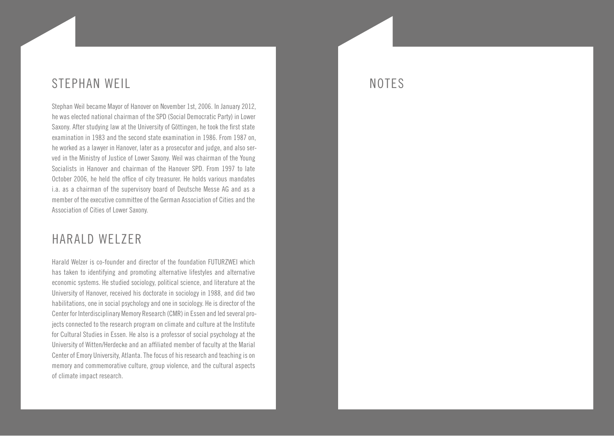### Stephan Weil

Stephan Weil became Mayor of Hanover on November 1st, 2006. In January 2012, he was elected national chairman of the SPD (Social Democratic Party) in Lower Saxony. After studying law at the University of Göttingen, he took the first state examination in 1983 and the second state examination in 1986. From 1987 on, he worked as a lawyer in Hanover, later as a prosecutor and judge, and also served in the Ministry of Justice of Lower Saxony. Weil was chairman of the Young Socialists in Hanover and chairman of the Hanover SPD. From 1997 to late October 2006, he held the office of city treasurer. He holds various mandates i.a. as a chairman of the supervisory board of Deutsche Messe AG and as a member of the executive committee of the German Association of Cities and the Association of Cities of Lower Saxony.

#### HARAID WFIZER

Harald Welzer is co-founder and director of the foundation FUTURZWEI which has taken to identifying and promoting alternative lifestyles and alternative economic systems. He studied sociology, political science, and literature at the University of Hanover, received his doctorate in sociology in 1988, and did two habilitations, one in social psychology and one in sociology. He is director of the Center for Interdisciplinary Memory Research (CMR) in Essen and led several projects connected to the research program on climate and culture at the Institute for Cultural Studies in Essen. He also is a professor of social psychology at the University of Witten/Herdecke and an affiliated member of faculty at the Marial Center of Emory University, Atlanta. The focus of his research and teaching is on memory and commemorative culture, group violence, and the cultural aspects of climate impact research.

### NOTES